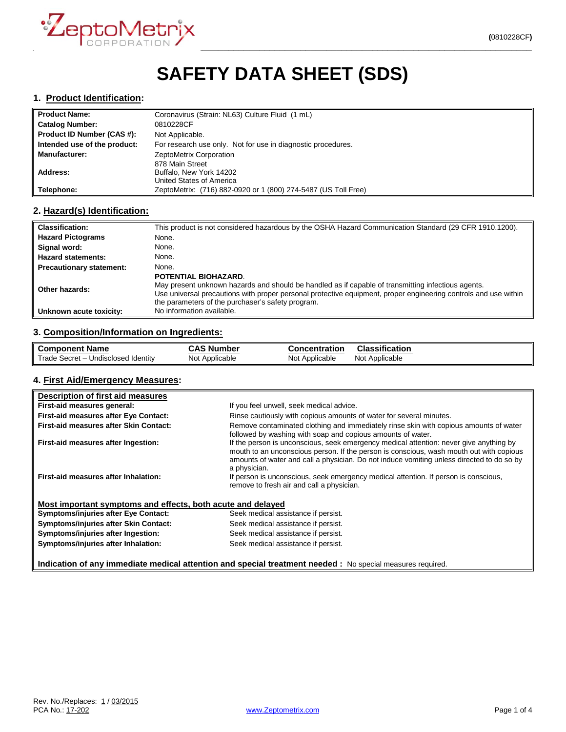

# **SAFETY DATA SHEET (SDS)**

#### **1. Product Identification:**

| <b>Product Name:</b>         | Coronavirus (Strain: NL63) Culture Fluid (1 mL)                |
|------------------------------|----------------------------------------------------------------|
| <b>Catalog Number:</b>       | 0810228CF                                                      |
| Product ID Number (CAS #):   | Not Applicable.                                                |
| Intended use of the product: | For research use only. Not for use in diagnostic procedures.   |
| <b>Manufacturer:</b>         | ZeptoMetrix Corporation                                        |
|                              | 878 Main Street                                                |
| Address:                     | Buffalo, New York 14202                                        |
|                              | United States of America                                       |
| <b>Telephone:</b>            | ZeptoMetrix: (716) 882-0920 or 1 (800) 274-5487 (US Toll Free) |

#### **2. Hazard(s) Identification:**

| <b>Classification:</b>          | This product is not considered hazardous by the OSHA Hazard Communication Standard (29 CFR 1910.1200).                                                                                                                                                                                             |
|---------------------------------|----------------------------------------------------------------------------------------------------------------------------------------------------------------------------------------------------------------------------------------------------------------------------------------------------|
| <b>Hazard Pictograms</b>        | None.                                                                                                                                                                                                                                                                                              |
| Signal word:                    | None.                                                                                                                                                                                                                                                                                              |
| <b>Hazard statements:</b>       | None.                                                                                                                                                                                                                                                                                              |
| <b>Precautionary statement:</b> | None.                                                                                                                                                                                                                                                                                              |
| Other hazards:                  | POTENTIAL BIOHAZARD.<br>May present unknown hazards and should be handled as if capable of transmitting infectious agents.<br>Use universal precautions with proper personal protective equipment, proper engineering controls and use within<br>the parameters of the purchaser's safety program. |
| Unknown acute toxicity:         | No information available.                                                                                                                                                                                                                                                                          |

# **3. Composition/Information on Ingredients:**

| ll Component Name                   | . Number<br>CAS | <b>Concentration</b> | <b>Classification</b> |
|-------------------------------------|-----------------|----------------------|-----------------------|
| Trade Secret – Undisclosed Identity | Not             | Not                  | Not                   |
|                                     | Applicable      | Applicable           | Applicable            |

#### **4. First Aid/Emergency Measures:**

| Description of first aid measures                                                                          |                                                                                                                                                                                                                                                                                                |  |
|------------------------------------------------------------------------------------------------------------|------------------------------------------------------------------------------------------------------------------------------------------------------------------------------------------------------------------------------------------------------------------------------------------------|--|
| First-aid measures general:                                                                                | If you feel unwell, seek medical advice.                                                                                                                                                                                                                                                       |  |
| <b>First-aid measures after Eye Contact:</b>                                                               | Rinse cautiously with copious amounts of water for several minutes.                                                                                                                                                                                                                            |  |
| First-aid measures after Skin Contact:                                                                     | Remove contaminated clothing and immediately rinse skin with copious amounts of water<br>followed by washing with soap and copious amounts of water.                                                                                                                                           |  |
| First-aid measures after Ingestion:                                                                        | If the person is unconscious, seek emergency medical attention: never give anything by<br>mouth to an unconscious person. If the person is conscious, wash mouth out with copious<br>amounts of water and call a physician. Do not induce vomiting unless directed to do so by<br>a physician. |  |
| First-aid measures after Inhalation:                                                                       | If person is unconscious, seek emergency medical attention. If person is conscious,<br>remove to fresh air and call a physician.                                                                                                                                                               |  |
| Most important symptoms and effects, both acute and delayed                                                |                                                                                                                                                                                                                                                                                                |  |
| <b>Symptoms/injuries after Eye Contact:</b>                                                                | Seek medical assistance if persist.                                                                                                                                                                                                                                                            |  |
| Symptoms/injuries after Skin Contact:                                                                      | Seek medical assistance if persist.                                                                                                                                                                                                                                                            |  |
| Symptoms/injuries after Ingestion:                                                                         | Seek medical assistance if persist.                                                                                                                                                                                                                                                            |  |
| Symptoms/injuries after Inhalation:                                                                        | Seek medical assistance if persist.                                                                                                                                                                                                                                                            |  |
| Indication of any immediate medical attention and special treatment needed : No special measures required. |                                                                                                                                                                                                                                                                                                |  |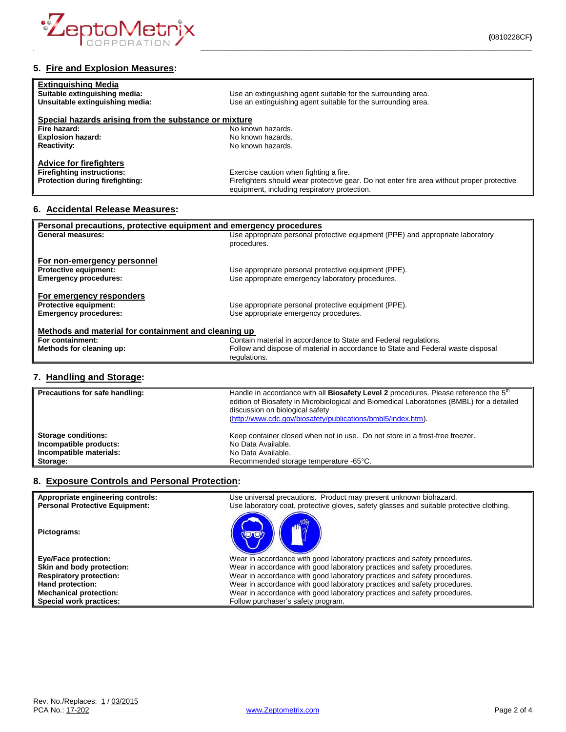

| <b>Extinguishing Media</b>                            |                                                                                            |
|-------------------------------------------------------|--------------------------------------------------------------------------------------------|
| Suitable extinguishing media:                         | Use an extinguishing agent suitable for the surrounding area.                              |
| Unsuitable extinguishing media:                       | Use an extinguishing agent suitable for the surrounding area.                              |
| Special hazards arising from the substance or mixture |                                                                                            |
| Fire hazard:                                          | No known hazards.                                                                          |
| <b>Explosion hazard:</b>                              | No known hazards.                                                                          |
| <b>Reactivity:</b>                                    | No known hazards.                                                                          |
| <b>Advice for firefighters</b>                        |                                                                                            |
| <b>Firefighting instructions:</b>                     | Exercise caution when fighting a fire.                                                     |
| Protection during firefighting:                       | Firefighters should wear protective gear. Do not enter fire area without proper protective |
|                                                       | equipment, including respiratory protection.                                               |

## **6. Accidental Release Measures:**

| Personal precautions, protective equipment and emergency procedures |                                                                                  |  |
|---------------------------------------------------------------------|----------------------------------------------------------------------------------|--|
| <b>General measures:</b>                                            | Use appropriate personal protective equipment (PPE) and appropriate laboratory   |  |
|                                                                     | procedures.                                                                      |  |
|                                                                     |                                                                                  |  |
| For non-emergency personnel                                         |                                                                                  |  |
| <b>Protective equipment:</b>                                        | Use appropriate personal protective equipment (PPE).                             |  |
| <b>Emergency procedures:</b>                                        | Use appropriate emergency laboratory procedures.                                 |  |
|                                                                     |                                                                                  |  |
| For emergency responders                                            |                                                                                  |  |
| <b>Protective equipment:</b>                                        | Use appropriate personal protective equipment (PPE).                             |  |
| <b>Emergency procedures:</b>                                        | Use appropriate emergency procedures.                                            |  |
|                                                                     |                                                                                  |  |
| Methods and material for containment and cleaning up                |                                                                                  |  |
| For containment:                                                    | Contain material in accordance to State and Federal regulations.                 |  |
| Methods for cleaning up:                                            | Follow and dispose of material in accordance to State and Federal waste disposal |  |
|                                                                     | regulations.                                                                     |  |
|                                                                     |                                                                                  |  |

## **7. Handling and Storage:**

| Precautions for safe handling: | Handle in accordance with all Biosafety Level 2 procedures. Please reference the 5 <sup>th</sup><br>edition of Biosafety in Microbiological and Biomedical Laboratories (BMBL) for a detailed<br>discussion on biological safety<br>(http://www.cdc.gov/biosafety/publications/bmbl5/index.htm). |
|--------------------------------|--------------------------------------------------------------------------------------------------------------------------------------------------------------------------------------------------------------------------------------------------------------------------------------------------|
| <b>Storage conditions:</b>     | Keep container closed when not in use. Do not store in a frost-free freezer.                                                                                                                                                                                                                     |
| Incompatible products:         | No Data Available.                                                                                                                                                                                                                                                                               |
| Incompatible materials:        | No Data Available.                                                                                                                                                                                                                                                                               |
| Storage:                       | Recommended storage temperature -65°C.                                                                                                                                                                                                                                                           |

## **8. Exposure Controls and Personal Protection:**

| Appropriate engineering controls:<br><b>Personal Protective Equipment:</b> | Use universal precautions. Product may present unknown biohazard.<br>Use laboratory coat, protective gloves, safety glasses and suitable protective clothing. |
|----------------------------------------------------------------------------|---------------------------------------------------------------------------------------------------------------------------------------------------------------|
| Pictograms:                                                                |                                                                                                                                                               |
| <b>Eye/Face protection:</b>                                                | Wear in accordance with good laboratory practices and safety procedures.                                                                                      |
| Skin and body protection:                                                  | Wear in accordance with good laboratory practices and safety procedures.                                                                                      |
| <b>Respiratory protection:</b>                                             | Wear in accordance with good laboratory practices and safety procedures.                                                                                      |
| Hand protection:                                                           | Wear in accordance with good laboratory practices and safety procedures.                                                                                      |
| <b>Mechanical protection:</b>                                              | Wear in accordance with good laboratory practices and safety procedures.                                                                                      |
| <b>Special work practices:</b>                                             | Follow purchaser's safety program.                                                                                                                            |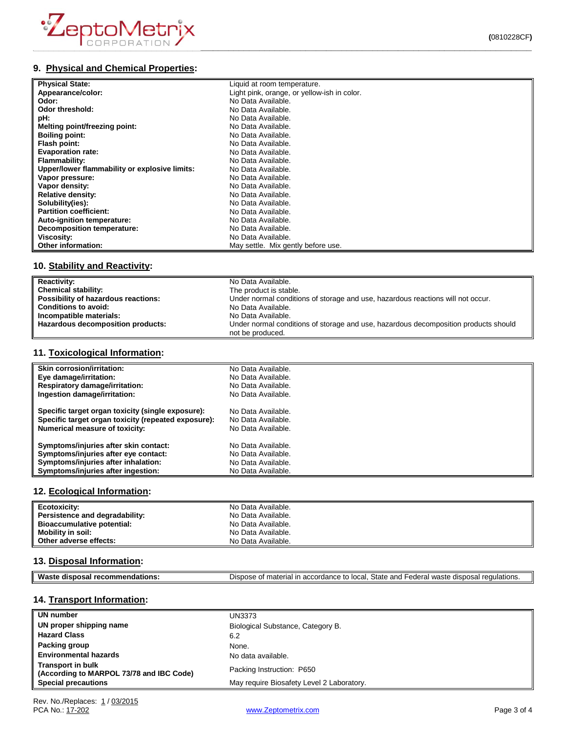

# **9. Physical and Chemical Properties:**

| <b>Physical State:</b>                        | Liquid at room temperature.                 |
|-----------------------------------------------|---------------------------------------------|
| Appearance/color:                             | Light pink, orange, or yellow-ish in color. |
| Odor:                                         | No Data Available.                          |
| Odor threshold:                               | No Data Available.                          |
| pH:                                           | No Data Available.                          |
| Melting point/freezing point:                 | No Data Available.                          |
| <b>Boiling point:</b>                         | No Data Available.                          |
| Flash point:                                  | No Data Available.                          |
| <b>Evaporation rate:</b>                      | No Data Available.                          |
| Flammability:                                 | No Data Available.                          |
| Upper/lower flammability or explosive limits: | No Data Available.                          |
| Vapor pressure:                               | No Data Available.                          |
| Vapor density:                                | No Data Available.                          |
| <b>Relative density:</b>                      | No Data Available.                          |
| Solubility(ies):                              | No Data Available.                          |
| <b>Partition coefficient:</b>                 | No Data Available.                          |
| Auto-ignition temperature:                    | No Data Available.                          |
| <b>Decomposition temperature:</b>             | No Data Available.                          |
| Viscosity:                                    | No Data Available.                          |
| Other information:                            | May settle. Mix gently before use.          |

# **10. Stability and Reactivity:**

| <b>Reactivity:</b>                  | No Data Available.                                                                                      |
|-------------------------------------|---------------------------------------------------------------------------------------------------------|
| Chemical stability:                 | The product is stable.                                                                                  |
| Possibility of hazardous reactions: | Under normal conditions of storage and use, hazardous reactions will not occur.                         |
| <b>Conditions to avoid:</b>         | No Data Available.                                                                                      |
| Incompatible materials:             | No Data Available.                                                                                      |
| Hazardous decomposition products:   | Under normal conditions of storage and use, hazardous decomposition products should<br>not be produced. |

## **11. Toxicological Information:**

| <b>Skin corrosion/irritation:</b>                   | No Data Available. |
|-----------------------------------------------------|--------------------|
| Eye damage/irritation:                              | No Data Available. |
| <b>Respiratory damage/irritation:</b>               | No Data Available. |
| Ingestion damage/irritation:                        | No Data Available. |
| Specific target organ toxicity (single exposure):   | No Data Available. |
| Specific target organ toxicity (repeated exposure): | No Data Available. |
| <b>Numerical measure of toxicity:</b>               | No Data Available. |
| Symptoms/injuries after skin contact:               | No Data Available. |
| Symptoms/injuries after eye contact:                | No Data Available. |
| Symptoms/injuries after inhalation:                 | No Data Available. |
| Symptoms/injuries after ingestion:                  | No Data Available. |

#### **12. Ecological Information:**

| Ecotoxicity:                      | No Data Available. |
|-----------------------------------|--------------------|
| Persistence and degradability:    | No Data Available. |
| <b>Bioaccumulative potential:</b> | No Data Available. |
| Mobility in soil:                 | No Data Available. |
| Other adverse effects:            | No Data Available. |

#### **13. Disposal Information:**

| ML<br>oв.<br>50<br>- - | State<br>and<br>local<br>1.0 <sub>m</sub><br>- -<br>$\overline{a}$<br>- 스<br>י הווה<br>.00<br>,,,<br>. Ir<br>~<br>$\epsilon$<br>.ore<br>$\overline{\phantom{a}}$<br>$\sim$<br>ы.<br>-<br>.107<br>৴౹៶<br>วเเ<br><b>EULDI</b> 13.<br>.<br>. . |
|------------------------|---------------------------------------------------------------------------------------------------------------------------------------------------------------------------------------------------------------------------------------------|
|                        |                                                                                                                                                                                                                                             |

# **14. Transport Information:**

| UN number                                                            | UN3373                                    |
|----------------------------------------------------------------------|-------------------------------------------|
| UN proper shipping name                                              | Biological Substance, Category B.         |
| <b>Hazard Class</b>                                                  | 6.2                                       |
| Packing group                                                        | None.                                     |
| <b>Environmental hazards</b>                                         | No data available.                        |
| <b>Transport in bulk</b><br>(According to MARPOL 73/78 and IBC Code) | Packing Instruction: P650                 |
| <b>Special precautions</b>                                           | May require Biosafety Level 2 Laboratory. |

[www.Zeptometrix.com](http://www.zeptometrix.com/) example and the property of 4